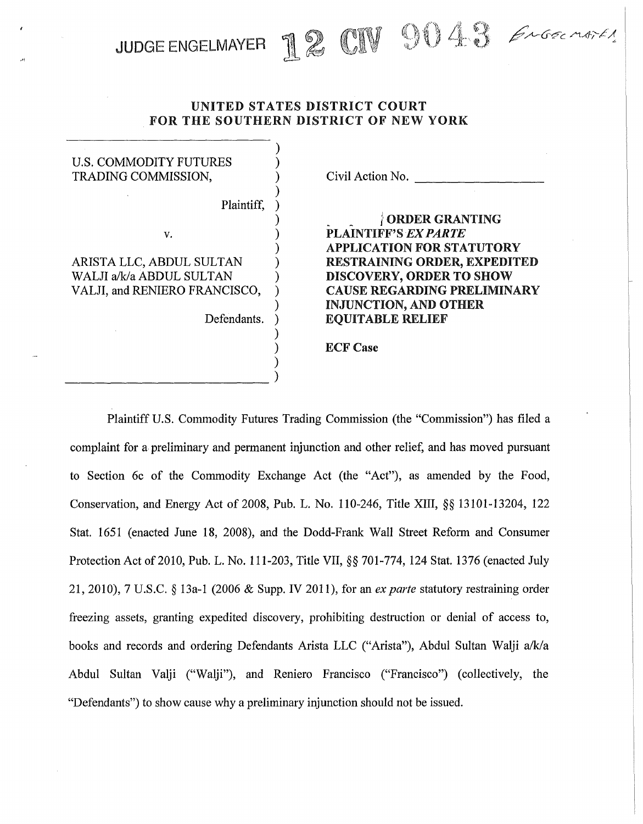UNITED STATES DISTRICT COURT FOR THE SOUTHERN DISTRICT OF NEW YORK

JUDGE ENGELMAYER J& CIV 9043 ENGELMAYER

| <b>U.S. COMMODITY FUTURES</b><br>TRADING COMMISSION,      | Civil Action No.                                                                         |
|-----------------------------------------------------------|------------------------------------------------------------------------------------------|
| Plaintiff,                                                |                                                                                          |
| v.                                                        | <b>ORDER GRANTING</b><br><b>PLAINTIFF'S EX PARTE</b><br><b>APPLICATION FOR STATUTORY</b> |
| ARISTA LLC, ABDUL SULTAN                                  | RESTRAINING ORDER, EXPEDITED                                                             |
| WALJI a/k/a ABDUL SULTAN<br>VALJI, and RENIERO FRANCISCO, | DISCOVERY, ORDER TO SHOW<br><b>CAUSE REGARDING PRELIMINARY</b>                           |
| Defendants.                                               | <b>INJUNCTION, AND OTHER</b><br><b>EQUITABLE RELIEF</b>                                  |
|                                                           | <b>ECF</b> Case                                                                          |
|                                                           |                                                                                          |

·''

Plaintiff U.S. Commodity Futures Trading Commission (the "Commission") has filed a complaint for a preliminary and permanent injunction and other relief, and has moved pursuant to Section 6c of the Commodity Exchange Act (the "Act"), as amended by the Food, Conservation, and Energy Act of 2008, Pub. L. No. 110-246, Title XIII, *§§* 13101-13204, 122 Stat. 1651 (enacted June 18, 2008), and the Dodd-Frank Wall Street Reform and Consumer Protection Act of2010, Pub. L. No. 111-203, Title VII,§§ 701-774, 124 Stat. 1376 (enacted July 21, 2010), 7 U.S.C. *§* 13a-1 (2006 & Supp. IV 2011), for an *ex parte* statutory restraining order freezing assets, granting expedited discovery, prohibiting destruction or denial of access to, books and records and ordering Defendants Arista LLC ("Arista"), Abdul Sultan Walji a/k/a Abdul Sultan Valji ("Walji"), and Reniero Francisco ("Francisco") (collectively, the "Defendants") to show cause why a preliminary injunction should not be issued.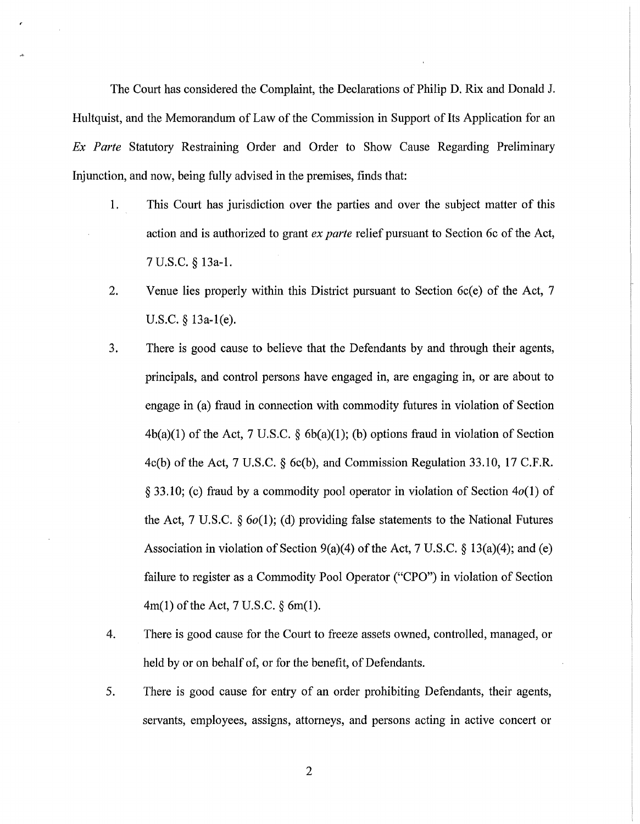The Court has considered the Complaint, the Declarations of Philip D. Rix and Donald J. Hultquist, and the Memorandum of Law of the Commission in Support of Its Application for an *Ex Parte* Statutory Restraining Order and Order to Show Cause Regarding Preliminary Injunction, and now, being fully advised in the premises, finds that:

- 1. This Court has jurisdiction over the parties and over the subject matter of this action and is authorized to grant *ex parte* relief pursuant to Section 6c of the Act, 7 U.S.C. § 13a-1.
- 2. Venue lies properly within this District pursuant to Section 6c(e) of the Act, 7 U.S.C. § 13a-1(e).
- 3. There is good cause to believe that the Defendants by and through their agents, principals, and control persons have engaged in, are engaging in, or are about to engage in (a) fraud in connection with commodity futures in violation of Section  $4b(a)(1)$  of the Act, 7 U.S.C. §  $6b(a)(1)$ ; (b) options fraud in violation of Section 4c(b) ofthe Act, 7 U.S.C. *§* 6c(b), and Commission Regulation 33.10, 17 C.F.R. *§* 33.10; (c) fraud by a commodity pool operator in violation of Section 4o(1) of the Act, 7 U.S.C. *§* 6o(1); (d) providing false statements to the National Futures Association in violation of Section 9(a)(4) ofthe Act, 7 U.S.C. *§* 13(a)(4); and (e) failure to register as a Commodity Pool Operator ("CPO") in violation of Section  $4m(1)$  of the Act, 7 U.S.C. § 6m(1).
- 4. There is good cause for the Court to freeze assets owned, controlled, managed, or held by or on behalf of, or for the benefit, of Defendants.
- 5. There is good cause for entry of an order prohibiting Defendants, their agents, servants, employees, assigns, attorneys, and persons acting in active concert or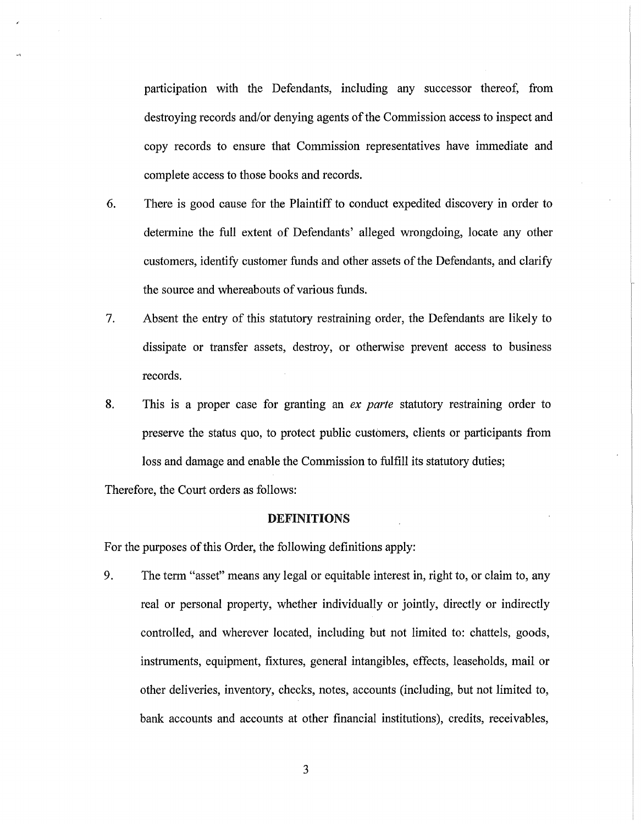participation with the Defendants, including any successor thereof, from destroying records and/or denying agents of the Commission access to inspect and copy records to ensure that Commission representatives have immediate and complete access to those books and records.

- 6. There is good cause for the Plaintiff to conduct expedited discovery in order to determine the full extent of Defendants' alleged wrongdoing, locate any other customers, identify customer funds and other assets of the Defendants, and clarify the source and whereabouts of various funds.
- 7. Absent the entry of this statutory restraining order, the Defendants are likely to dissipate or transfer assets, destroy, or otherwise prevent access to business records.
- 8. This is a proper case for granting an *ex parte* statutory restraining order to preserve the status quo, to protect public customers, clients or participants from loss and damage and enable the Commission to fulfill its statutory duties;

Therefore, the Court orders as follows:

#### DEFINITIONS

For the purposes of this Order, the following definitions apply:

9. The term "asset" means any legal or equitable interest in, right to, or claim to, any real or personal property, whether individually or jointly, directly or indirectly controlled, and wherever located, including but not limited to: chattels, goods, instruments, equipment, fixtures, general intangibles, effects, leaseholds, mail or other deliveries, inventory, checks, notes, accounts (including, but not limited to, bank accounts and accounts at other financial institutions), credits, receivables,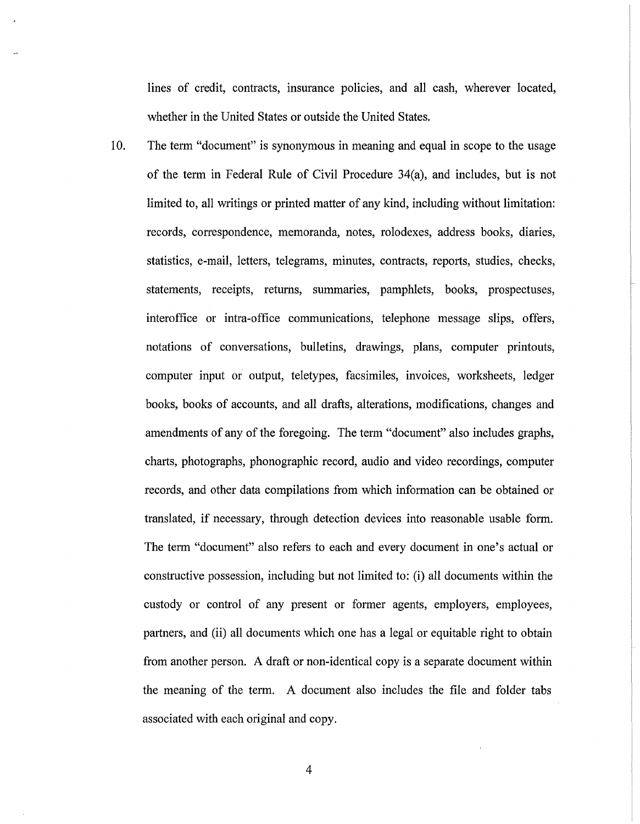lines of credit, contracts, insurance policies, and all cash, wherever located, whether in the United States or outside the United States.

10. The term "document" is synonymous in meaning and equal in scope to the usage of the term in Federal Rule of Civil Procedure 34(a), and includes, but is not limited to, all writings or printed matter of any kind, including without limitation: records, correspondence, memoranda, notes, rolodexes, address books, diaries, statistics, e-mail, letters, telegrams, minutes, contracts, reports, studies, checks, statements, receipts, returns, summaries, pamphlets, books, prospectuses, interoffice or intra-office communications, telephone message slips, offers, notations of conversations, bulletins, drawings, plans, computer printouts, computer input or output, teletypes, facsimiles, invoices, worksheets, ledger books, books of accounts, and all drafts, alterations, modifications, changes and amendments of any of the foregoing. The term "document" also includes graphs, charts, photographs, phonographic record, audio and video recordings, computer records, and other data compilations from which information can be obtained or translated, if necessary, through detection devices into reasonable usable form. The term "document" also refers to each and every document in one's actual or constructive possession, including but not limited to: (i) all documents within the custody or control of any present or former agents, employers, employees, partners, and (ii) all documents which one has a legal or equitable right to obtain from another person. A draft or non-identical copy is a separate document within the meaning of the term. A document also includes the file and folder tabs associated with each original and copy.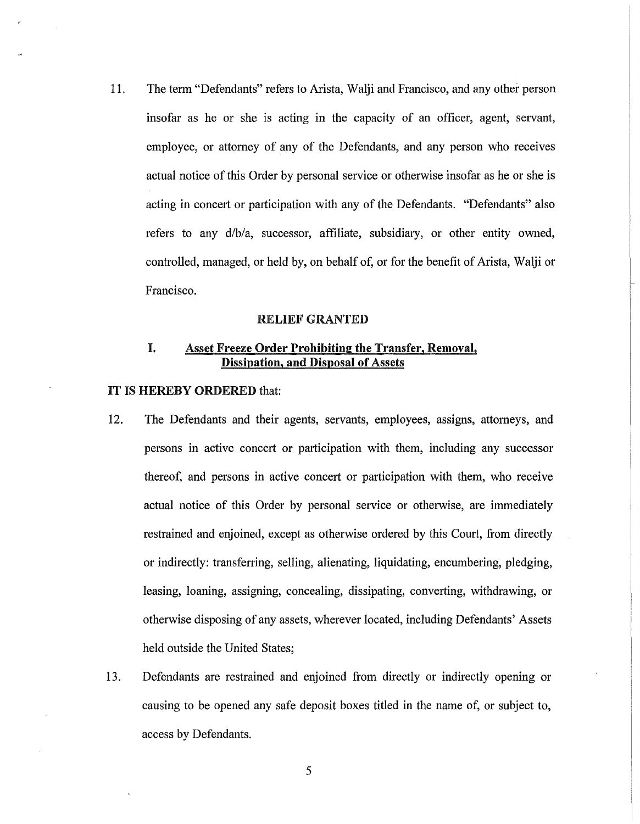11. The term "Defendants" refers to Arista, Walji and Francisco, and any other person insofar as he or she is acting in the capacity of an officer, agent, servant, employee, or attorney of any of the Defendants, and any person who receives actual notice of this Order by personal service or otherwise insofar as he or she is acting in concert or participation with any of the Defendants. "Defendants" also refers to any d/b/a, successor, affiliate, subsidiary, or other entity owned, controlled, managed, or held by, on behalf of, or for the benefit of Arista, Walji or Francisco.

#### RELIEF GRANTED

# I. Asset Freeze Order Prohibiting the Transfer, Removal, Dissipation, and Disposal of Assets

#### IT IS HEREBY ORDERED that:

- 12. The Defendants and their agents, servants, employees, assigns, attorneys, and persons in active concert or participation with them, including any successor thereof, and persons in active concert or participation with them, who receive actual notice of this Order by personal service or otherwise, are immediately restrained and enjoined, except as otherwise ordered by this Court, from directly or indirectly: transferring, selling, alienating, liquidating, encumbering, pledging, leasing, loaning, assigning, concealing, dissipating, converting, withdrawing, or otherwise disposing of any assets, wherever located, including Defendants' Assets held outside the United States;
- 13. Defendants are restrained and enjoined from directly or indirectly opening or causing to be opened any safe deposit boxes titled in the name of, or subject to, access by Defendants.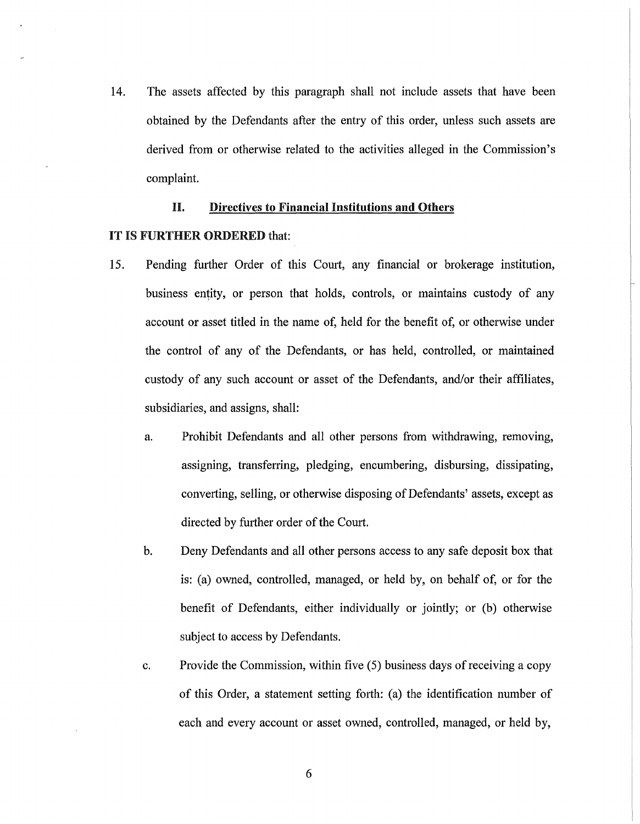14. The assets affected by this paragraph shall not include assets that have been obtained by the Defendants after the entry of this order, unless such assets are derived from or otherwise related to the activities alleged in the Commission's complaint.

# H. Directives to Financial Institutions and Others

- 15. Pending further Order of this Court, any financial or brokerage institution, business entity, or person that holds, controls, or maintains custody of any account or asset titled in the name of, held for the benefit of, or otherwise under the control of any of the Defendants, or has held, controlled, or maintained custody of any such account or asset of the Defendants, and/or their affiliates, subsidiaries, and assigns, shall:
	- a. Prohibit Defendants and all other persons from withdrawing, removing, assigning, transferring, pledging, encumbering, disbursing, dissipating, converting, selling, or otherwise disposing of Defendants' assets, except as directed by further order of the Court.
	- b. Deny Defendants and all other persons access to any safe deposit box that is: (a) owned, controlled, managed, or held by, on behalf of, or for the benefit of Defendants, either individually or jointly; or (b) otherwise subject to access by Defendants.
	- c. Provide the Commission, within five  $(5)$  business days of receiving a copy of this Order, a statement setting forth: (a) the identification number of each and every account or asset owned, controlled, managed, or held by,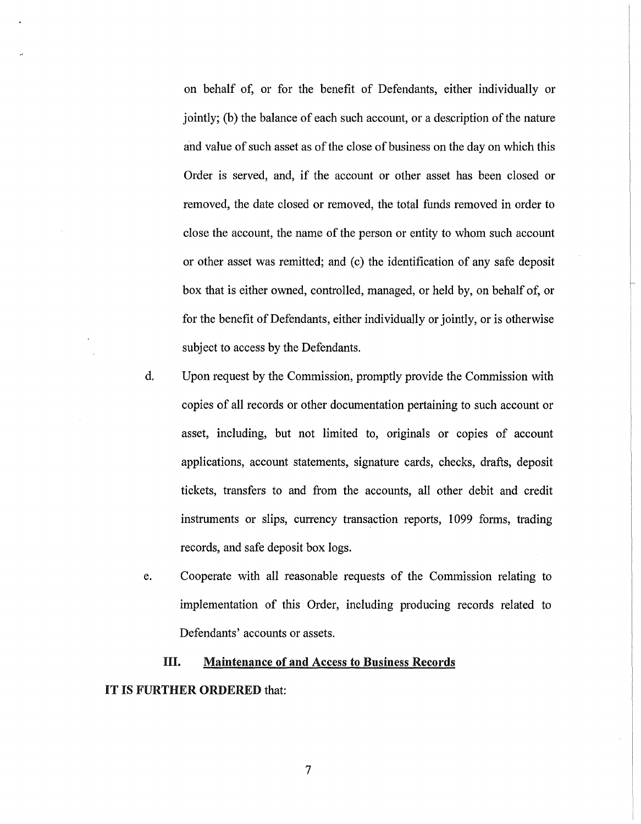on behalf of, or for the benefit of Defendants, either individually or jointly; (b) the balance of each such account, or a description of the nature and value of such asset as of the close of business on the day on which this Order is served, and, if the account or other asset has been closed or removed, the date closed or removed, the total funds removed in order to close the account, the name of the person or entity to whom such account or other asset was remitted; and (c) the identification of any safe deposit box that is either owned, controlled, managed, or held by, on behalf of, or for the benefit of Defendants, either individually or jointly, or is otherwise subject to access by the Defendants.

- d. Upon request by the Commission, promptly provide the Commission with copies of all records or other documentation pertaining to such account or asset, including, but not limited to, originals or copies of account applications, account statements, signature cards, checks, drafts, deposit tickets, transfers to and from the accounts, all other debit and credit instruments or slips, currency transaction reports, 1099 forms, trading records, and safe deposit box logs.
- e. Cooperate with all reasonable requests of the Commission relating to implementation of this Order, including producing records related to Defendants' accounts or assets.

# III. Maintenance of **and** Access to Business Records IT IS FURTHER ORDERED that: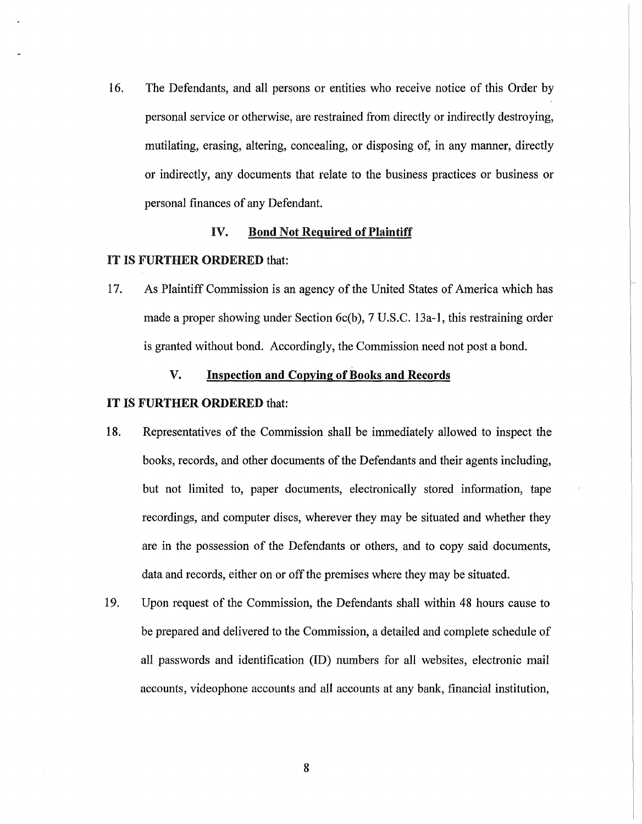16. The Defendants, and all persons or entities who receive notice of this Order by personal service or otherwise, are restrained from directly or indirectly destroying, mutilating, erasing, altering, concealing, or disposing of, in any manner, directly or indirectly, any documents that relate to the business practices or business or personal finances of any Defendant.

# IV. Bond Not Required of Plaintiff

# IT IS FURTHER ORDERED that:

17. As Plaintiff Commission is an agency of the United States of America which has made a proper showing under Section 6c(b), 7 U.S.C. 13a-l, this restraining order is granted without bond. Accordingly, the Commission need not post a bond.

# V. Inspection and Copying of Books and Records

- 18. Representatives of the Commission shall be immediately allowed to inspect the books, records, and other documents of the Defendants and their agents including, but not limited to, paper documents, electronically stored information, tape recordings, and computer discs, wherever they may be situated and whether they are in the possession of the Defendants or others, and to copy said documents, data and records, either on or off the premises where they may be situated.
- 19. Upon request of the Commission, the Defendants shall within 48 hours cause to be prepared and delivered to the Commission, a detailed and complete schedule of all passwords and identification (ID) numbers for all websites, electronic mail accounts, videophone accounts and all accounts at any bank, financial institution,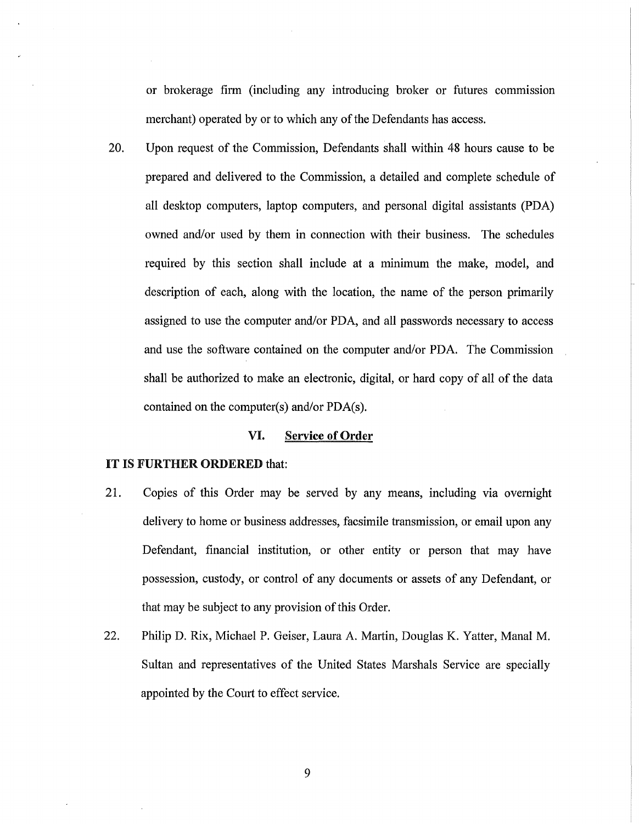or brokerage firm (including any introducing broker or futures commission merchant) operated by or to which any of the Defendants has access.

20. Upon request of the Commission, Defendants shall within 48 hours cause to be prepared and delivered to the Commission, a detailed and complete schedule of all desktop computers, laptop computers, and personal digital assistants (PDA) owned and/or used by them in connection with their business. The schedules required by this section shall include at a minimum the make, model, and description of each, along with the location, the name of the person primarily assigned to use the computer and/or PDA, and all passwords necessary to access and use the software contained on the computer and/or PDA. The Commission shall be authorized to make an electronic, digital, or hard copy of all of the data contained on the computer(s) and/or PDA(s).

# VI. Service of Order

- 21. Copies of this Order may be served by any means, including via overnight delivery to home or business addresses, facsimile transmission, or email upon any Defendant, financial institution, or other entity or person that may have possession, custody, or control of any documents or assets of any Defendant, or that may be subject to any provision of this Order.
- 22. Philip D. Rix, Michael P. Geiser, Laura A. Martin, Douglas K. Yatter, Manal M. Sultan and representatives of the United States Marshals Service are specially appointed by the Court to effect service.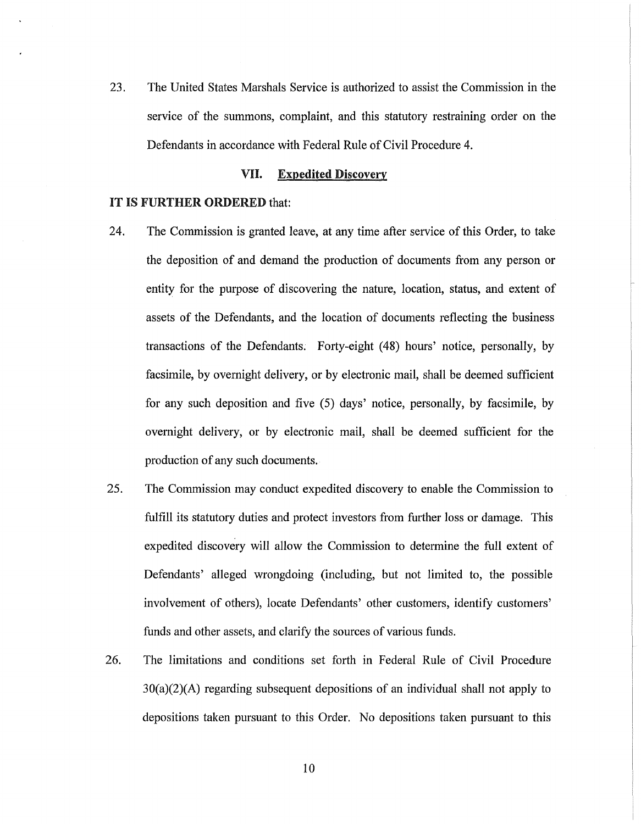23. The United States Marshals Service is authorized to assist the Commission in the service of the summons, complaint, and this statutory restraining order on the Defendants in accordance with Federal Rule of Civil Procedure 4.

### VII. Expedited Discovery

- 24. The Commission is granted leave, at any time after service of this Order, to take the deposition of and demand the production of documents from any person or entity for the purpose of discovering the nature, location, status, and extent of assets of the Defendants, and the location of documents reflecting the business transactions of the Defendants. Forty-eight (48) hours' notice, personally, by facsimile, by overnight delivery, or by electronic mail, shall be deemed sufficient for any such deposition and five (5) days' notice, personally, by facsimile, by overnight delivery, or by electronic mail, shall be deemed sufficient for the production of any such documents.
- 25. The Commission may conduct expedited discovery to enable the Commission to fulfill its statutory duties and protect investors from further loss or damage. This expedited discovery will allow the Commission to determine the full extent of Defendants' alleged wrongdoing (including, but not limited to, the possible involvement of others), locate Defendants' other customers, identify customers' funds and other assets, and clarify the sources of various funds.
- 26. The limitations and conditions set forth in Federal Rule of Civil Procedure  $30(a)(2)(A)$  regarding subsequent depositions of an individual shall not apply to depositions taken pursuant to this Order. No depositions taken pursuant to this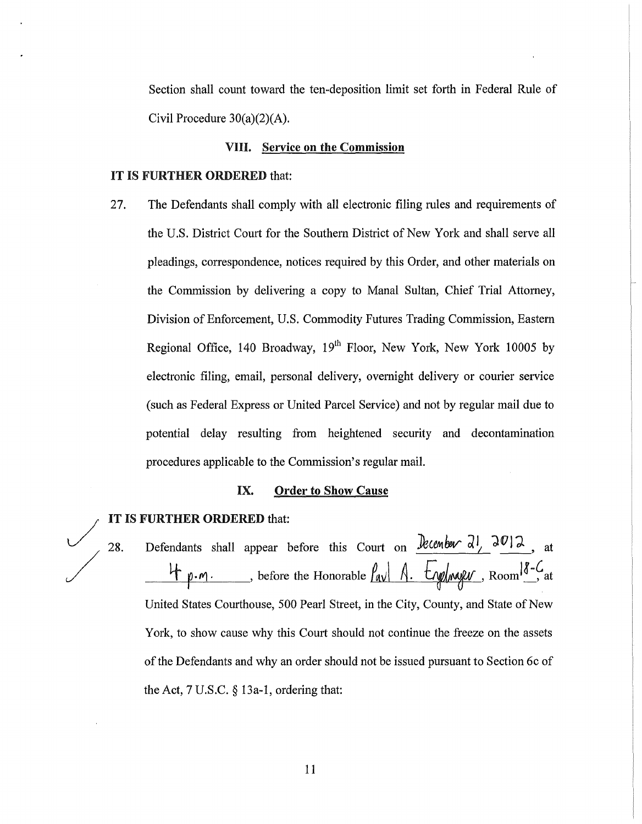Section shall count toward the ten-deposition limit set forth in Federal Rule of Civil Procedure  $30(a)(2)(A)$ .

# VIII. Service on the Commission

## IT IS FURTHER ORDERED that:

27. The Defendants shall comply with all electronic filing rules and requirements of the U.S. District Court for the Southern District of New York and shall serve all pleadings, correspondence, notices required by this Order, and other materials on the Commission by delivering a copy to Manal Sultan, Chief Trial Attorney, Division of Enforcement, U.S. Commodity Futures Trading Commission, Eastern Regional Office, 140 Broadway, 19<sup>th</sup> Floor, New York, New York 10005 by electronic filing, email, personal delivery, overnight delivery or courier service (such as Federal Express or United Parcel Service) and not by regular mail due to potential delay resulting from heightened security and decontamination procedures applicable to the Commission's regular mail.

### IX. Order to Show Cause

## IT IS FURTHER ORDERED that:

*J* 

/

28. Defendants shall appear before this Court on *December*  $\frac{\partial l}{\partial y}$ , at 4 p.m. Sefore the Honorable <u>Pave A. Englasser</u>, Room<sup>18-C</sup> at United States Courthouse, 500 Pearl Street, in the City, County, and State of New York, to show cause why this Court should not continue the freeze on the assets of the Defendants and why an order should not be issued pursuant to Section 6c of the Act, 7 U.S.C. § 13a-1, ordering that: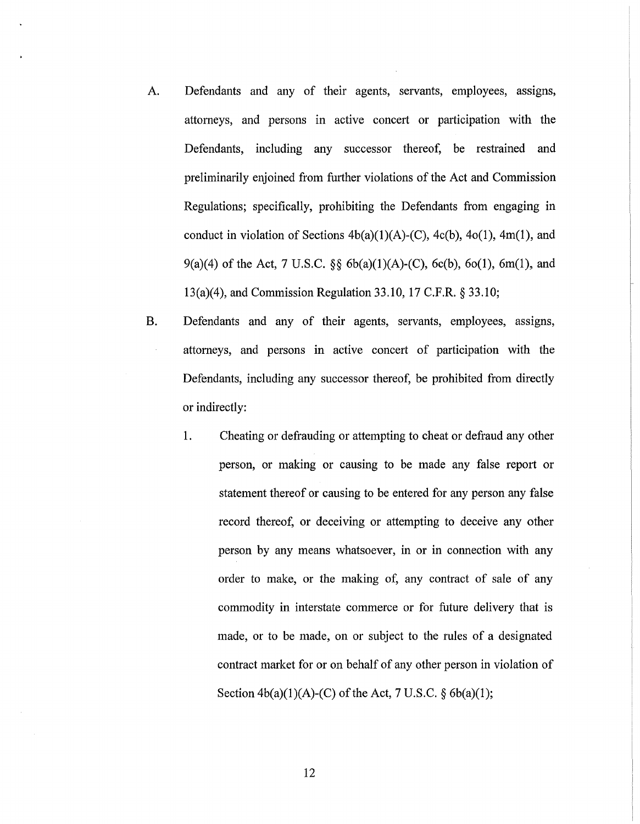- A. Defendants and any of their agents, servants, employees, assigns, attorneys, and persons in active concert or participation with the Defendants, including any successor thereof, be restrained and preliminarily enjoined from further violations of the Act and Commission Regulations; specifically, prohibiting the Defendants from engaging in conduct in violation of Sections  $4b(a)(1)(A)-(C)$ ,  $4c(b)$ ,  $4o(1)$ ,  $4m(1)$ , and 9(a)(4) of the Act, 7 U.S.C. §§  $6b(a)(1)(A)-(C)$ ,  $6c(b)$ ,  $6o(1)$ ,  $6m(1)$ , and 13(a)(4), and Commission Regulation 33.10, 17 C.P.R.§ 33.10;
- B. Defendants and any of their agents, servants, employees, assigns, attorneys, and persons in active concert of participation with the Defendants, including any successor thereof, be prohibited from directly or indirectly:
	- 1. Cheating or defrauding or attempting to cheat or defraud any other person, or making or causing to be made any false report or statement thereof or causing to be entered for any person any false record thereof, or deceiving or attempting to deceive any other person by any means whatsoever, in or in connection with any order to make, or the making of, any contract of sale of any commodity in interstate commerce or for future delivery that is made, or to be made, on or subject to the rules of a designated contract market for or on behalf of any other person in violation of Section  $4b(a)(1)(A)-(C)$  of the Act, 7 U.S.C. § 6 $b(a)(1)$ ;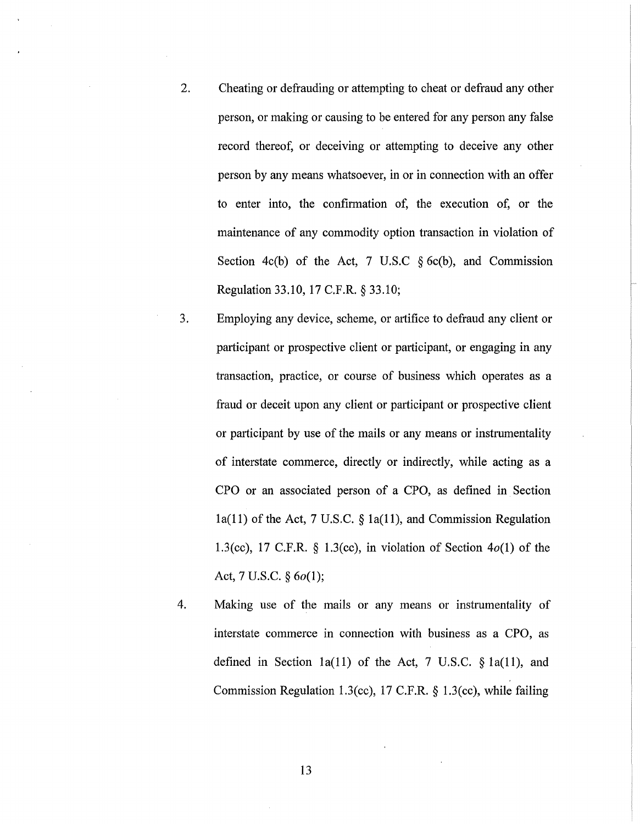- 2. Cheating or defrauding or attempting to cheat or defraud any other person, or making or causing to be entered for any person any false record thereof, or deceiving or attempting to deceive any other person by any means whatsoever, in or in connection with an offer to enter into, the confirmation of, the execution of, or the maintenance of any commodity option transaction in violation of Section 4c(b) of the Act, 7 U.S.C  $\S$  6c(b), and Commission Regulation 33.10, 17 C.F.R. § 33.10;
- 3. Employing any device, scheme, or artifice to defraud any client or participant or prospective client or participant, or engaging in any transaction, practice, or course of business which operates as a fraud or deceit upon any client or participant or prospective client or participant by use of the mails or any means or instrumentality of interstate commerce, directly or indirectly, while acting as a CPO or an associated person of a CPO, as defined in Section  $1a(11)$  of the Act, 7 U.S.C. §  $1a(11)$ , and Commission Regulation 1.3(cc), 17 C.F.R. § 1.3(cc), in violation of Section  $4o(1)$  of the Act, 7 U.S.C.  $§ 6o(1);$
- 4. Making use of the mails or any means or instrumentality of interstate commerce in connection with business as a CPO, as defined in Section 1a(11) of the Act, 7 U.S.C.  $\S$  1a(11), and Commission Regulation 1.3(cc), 17 C.F.R. § 1.3(cc), while failing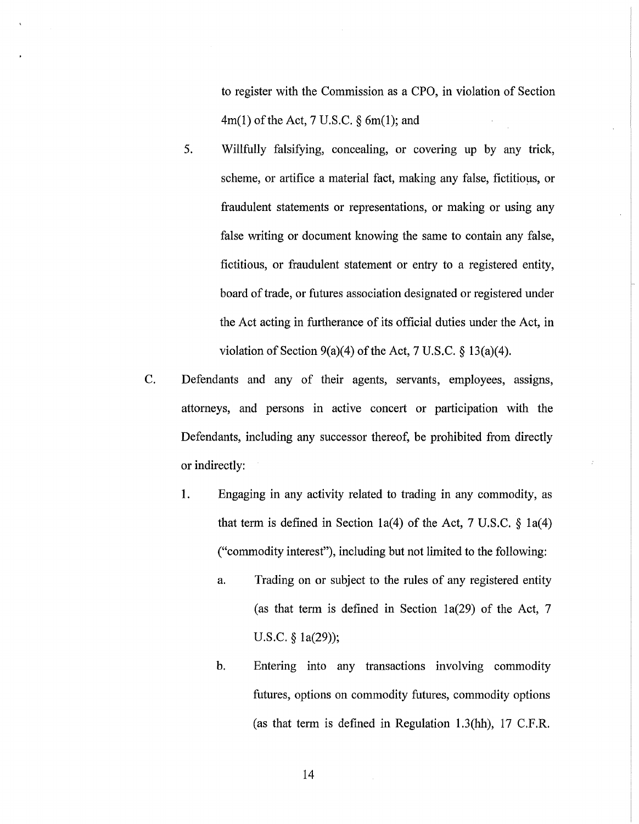to register with the Commission as a CPO, in violation of Section  $4m(1)$  of the Act, 7 U.S.C. § 6m(1); and

- 5. Willfully falsifying, concealing, or covering up by any trick, scheme, or artifice a material fact, making any false, fictitious, or fraudulent statements or representations, or making or using any false writing or document knowing the same to contain any false, fictitious, or fraudulent statement or entry to a registered entity, board of trade, or futures association designated or registered under the Act acting in furtherance of its official duties under the Act, in violation of Section 9(a)(4) of the Act, 7 U.S.C.  $\S$  13(a)(4).
- C. Defendants and any of their agents, servants, employees, assigns, attorneys, and persons in active concert or participation with the Defendants, including any successor thereof, be prohibited from directly or indirectly:
	- 1. Engaging in any activity related to trading in any commodity, as that term is defined in Section 1a(4) of the Act, 7 U.S.C.  $\S$  1a(4) ("commodity interest"), including but not limited to the following:
		- a. Trading on or subject to the rules of any registered entity (as that term is defined in Section 1a(29) of the Act, 7 U.S.C. § la(29));
		- b. Entering into any transactions involving commodity futures, options on commodity futures, commodity options (as that term is defined in Regulation 1.3(hh), 17 C.P.R.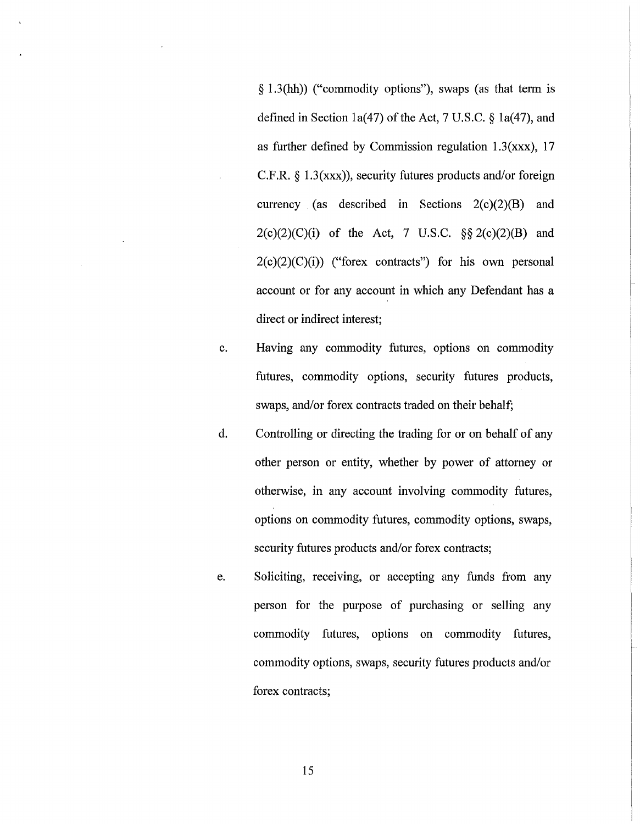*§* 1.3(hh)) ("commodity options"), swaps (as that term is defined in Section 1a(47) of the Act, 7 U.S.C.  $\S$  1a(47), and as further defined by Commission regulation  $1.3(xxx)$ , 17 C.F.R. *§* 1.3(xxx)), security futures products and/or foreign currency (as described in Sections 2(c)(2)(B) and 2(c)(2)(C)(i) of the Act, 7 U.S.C. *§§* 2(c)(2)(B) and  $2(c)(2)(C)(i)$  ("forex contracts") for his own personal account or for any account in which any Defendant has a direct or indirect interest;

- c. Having any commodity futures, options on commodity futures, commodity options, security futures products, swaps, and/or forex contracts traded on their behalf;
- d. Controlling or directing the trading for or on behalf of any other person or entity, whether by power of attorney or otherwise, in any account involving commodity futures, options on commodity futures, commodity options, swaps, security futures products and/or forex contracts;
- e. Soliciting, receiving, or accepting any funds from any person for the purpose of purchasing or selling any commodity futures, options on commodity futures, commodity options, swaps, security futures products and/or forex contracts;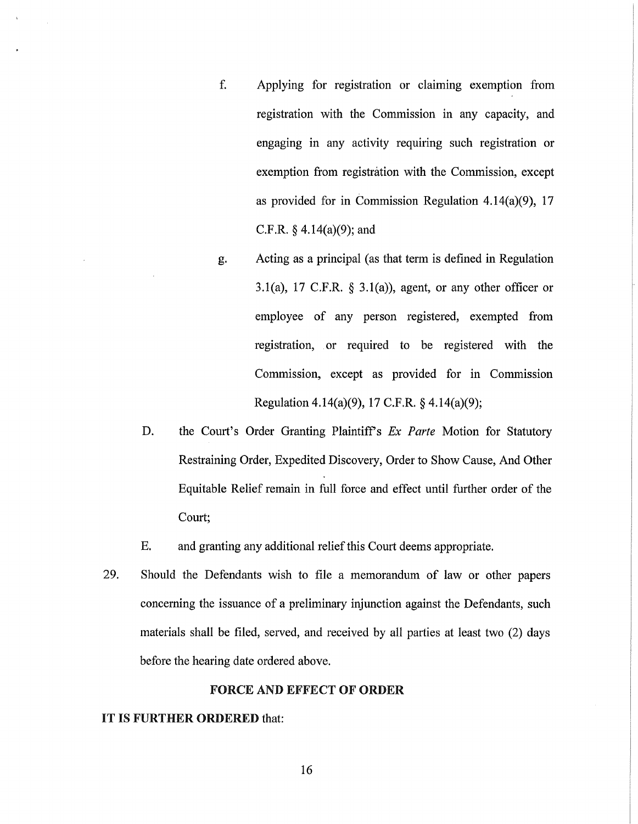- f. Applying for registration or claiming exemption from registration with the Commission in any capacity, and engaging in any activity requiring such registration or exemption from registration with the Commission, except as provided for in Commission Regulation 4.14(a)(9), 17 C.F.R.  $§$  4.14(a)(9); and
- g. Acting as a principal (as that term is defined in Regulation 3.1(a), 17 C.F.R.  $\S$  3.1(a)), agent, or any other officer or employee of any person registered, exempted from registration, or required to be registered with the Commission, except as provided for in Commission Regulation 4.14(a)(9), 17 C.F.R. § 4.14(a)(9);
- D. the Court's Order Granting Plaintiff's *Ex Parte* Motion for Statutory Restraining Order, Expedited Discovery, Order to Show Cause, And Other Equitable Relief remain in full force and effect until further order of the Court;
- E. and granting any additional relief this Court deems appropriate.
- 29. Should the Defendants wish to file a memorandum of law or other papers concerning the issuance of a preliminary injunction against the Defendants, such materials shall be filed, served, and received by all parties at least two (2) days before the hearing date ordered above.

## FORCE AND EFFECT OF ORDER